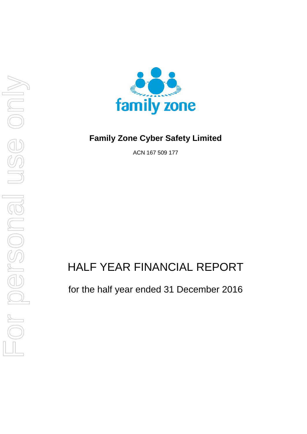



## **Family Zone Cyber Safety Limited**

ACN 167 509 177

# HALF YEAR FINANCIAL REPORT

for the half year ended 31 December 2016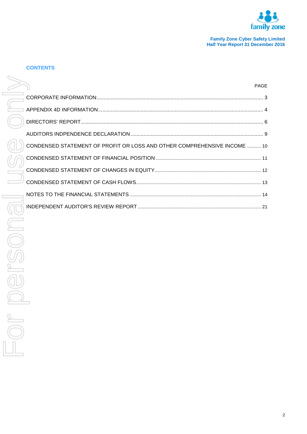

## **CONTENTS**

|                                                                          | <b>PAGE</b> |
|--------------------------------------------------------------------------|-------------|
|                                                                          |             |
|                                                                          |             |
|                                                                          |             |
|                                                                          |             |
| CONDENSED STATEMENT OF PROFIT OR LOSS AND OTHER COMPREHENSIVE INCOME  10 |             |
|                                                                          |             |
|                                                                          |             |
|                                                                          |             |
|                                                                          |             |
|                                                                          |             |
|                                                                          |             |
|                                                                          |             |
|                                                                          |             |
|                                                                          |             |
|                                                                          |             |
|                                                                          |             |
|                                                                          |             |
|                                                                          |             |
|                                                                          |             |
|                                                                          |             |
|                                                                          |             |
|                                                                          |             |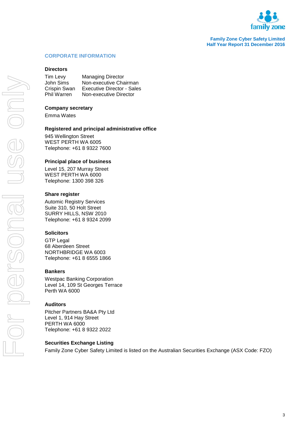

#### <span id="page-2-0"></span>**CORPORATE INFORMATION**

#### **Directors**

Tim Levy Managing Director John Sims Non-executive Chairman Crispin Swan Executive Director - Sales **Non-executive Director** 

#### **Company secretary**

Emma Wates

#### **Registered and principal administrative office**

945 Wellington Street WEST PERTH WA 6005 Telephone: +61 8 9322 7600

#### **Principal place of business**

Level 15, 207 Murray Street WEST PERTH WA 6000 Telephone: 1300 398 326

#### **Share register**

Automic Registry Services Suite 310, 50 Holt Street SURRY HILLS, NSW 2010 Telephone: +61 8 9324 2099

#### **Solicitors**

GTP Legal 68 Aberdeen Street NORTHBRIDGE WA 6003 Telephone: +61 8 6555 1866

#### **Bankers**

Westpac Banking Corporation Level 14, 109 St Georges Terrace Perth WA 6000

#### **Auditors**

Pitcher Partners BA&A Pty Ltd Level 1, 914 Hay Street PERTH WA 6000 Telephone: +61 8 9322 2022

#### **Securities Exchange Listing**

Family Zone Cyber Safety Limited is listed on the Australian Securities Exchange (ASX Code: FZO)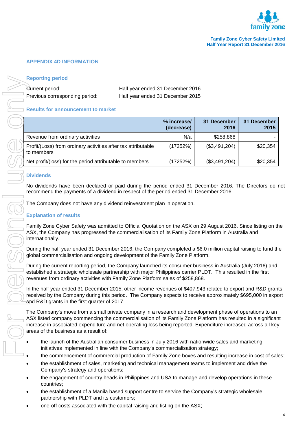

## <span id="page-3-0"></span>**APPENDIX 4D INFORMATION**

#### **Reporting period**

#### **Results for announcement to market**

|  | <b>Reporting period</b>                                                                                                                                                                                                                                                                                                                                                            |                                  |                           |                     |                     |
|--|------------------------------------------------------------------------------------------------------------------------------------------------------------------------------------------------------------------------------------------------------------------------------------------------------------------------------------------------------------------------------------|----------------------------------|---------------------------|---------------------|---------------------|
|  | Current period:                                                                                                                                                                                                                                                                                                                                                                    | Half year ended 31 December 2016 |                           |                     |                     |
|  | Previous corresponding period:                                                                                                                                                                                                                                                                                                                                                     | Half year ended 31 December 2015 |                           |                     |                     |
|  | <b>Results for announcement to market</b>                                                                                                                                                                                                                                                                                                                                          |                                  |                           |                     |                     |
|  |                                                                                                                                                                                                                                                                                                                                                                                    |                                  | % increase/<br>(decrease) | 31 December<br>2016 | 31 December<br>2015 |
|  | Revenue from ordinary activities                                                                                                                                                                                                                                                                                                                                                   |                                  | N/a                       | \$258,868           |                     |
|  | Profit/(Loss) from ordinary activities after tax attributable<br>to members                                                                                                                                                                                                                                                                                                        |                                  | (17252%)                  | (\$3,491,204)       | \$20,354            |
|  | Net profit/(loss) for the period attributable to members                                                                                                                                                                                                                                                                                                                           |                                  | (17252%)                  | (\$3,491,204)       | \$20,354            |
|  | <b>Dividends</b>                                                                                                                                                                                                                                                                                                                                                                   |                                  |                           |                     |                     |
|  | No dividends have been declared or paid during the period ended 31 December 2016. The Directors do                                                                                                                                                                                                                                                                                 |                                  |                           |                     |                     |
|  | recommend the payments of a dividend in respect of the period ended 31 December 2016.                                                                                                                                                                                                                                                                                              |                                  |                           |                     |                     |
|  | The Company does not have any dividend reinvestment plan in operation.                                                                                                                                                                                                                                                                                                             |                                  |                           |                     |                     |
|  | <b>Explanation of results</b>                                                                                                                                                                                                                                                                                                                                                      |                                  |                           |                     |                     |
|  | Family Zone Cyber Safety was admitted to Official Quotation on the ASX on 29 August 2016. Since listing on th                                                                                                                                                                                                                                                                      |                                  |                           |                     |                     |
|  | ASX, the Company has progressed the commercialisation of its Family Zone Platform in Australia and<br>internationally.                                                                                                                                                                                                                                                             |                                  |                           |                     |                     |
|  | During the half year ended 31 December 2016, the Company completed a \$6.0 million capital raising to fund th<br>global commercialisation and ongoing development of the Family Zone Platform.                                                                                                                                                                                     |                                  |                           |                     |                     |
|  | During the current reporting period, the Company launched its consumer business in Australia (July 2016) and<br>established a strategic wholesale partnership with major Philippines carrier PLDT. This resulted in the first<br>revenues from ordinary activities with Family Zone Platform sales of \$258,868.                                                                   |                                  |                           |                     |                     |
|  | In the half year ended 31 December 2015, other income revenues of \$407,943 related to export and R&D gran<br>received by the Company during this period. The Company expects to receive approximately \$695,000 in expo<br>and R&D grants in the first quarter of 2017.                                                                                                           |                                  |                           |                     |                     |
|  | The Company's move from a small private company in a research and development phase of operations to an<br>ASX listed company commencing the commercialisation of its Family Zone Platform has resulted in a significar<br>increase in associated expenditure and net operating loss being reported. Expenditure increased across all key<br>areas of the business as a result of: |                                  |                           |                     |                     |
|  | the launch of the Australian consumer business in July 2016 with nationwide sales and marketing<br>initiatives implemented in line with the Company's commercialisation strategy;                                                                                                                                                                                                  |                                  |                           |                     |                     |
|  | the commencement of commercial production of Family Zone boxes and resulting increase in cost of sale                                                                                                                                                                                                                                                                              |                                  |                           |                     |                     |
|  | the establishment of sales, marketing and technical management teams to implement and drive the<br>Company's strategy and operations;                                                                                                                                                                                                                                              |                                  |                           |                     |                     |
|  | the engagement of country heads in Philippines and USA to manage and develop operations in these<br>countries;                                                                                                                                                                                                                                                                     |                                  |                           |                     |                     |
|  | the establishment of a Manila based support centre to service the Company's strategic wholesale<br>partnership with PLDT and its customers;                                                                                                                                                                                                                                        |                                  |                           |                     |                     |
|  | one-off costs associated with the capital raising and listing on the ASX;                                                                                                                                                                                                                                                                                                          |                                  |                           |                     |                     |

#### **Dividends**

## **Explanation of results**

- the launch of the Australian consumer business in July 2016 with nationwide sales and marketing initiatives implemented in line with the Company's commercialisation strategy;
- the commencement of commercial production of Family Zone boxes and resulting increase in cost of sales;
- the establishment of sales, marketing and technical management teams to implement and drive the Company's strategy and operations;
- the engagement of country heads in Philippines and USA to manage and develop operations in these countries;
- the establishment of a Manila based support centre to service the Company's strategic wholesale partnership with PLDT and its customers;
-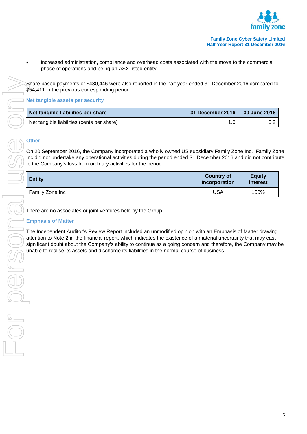

Share based payments of \$480,446 were also reported in the half year ended 31 December 2016 compared to \$54,411 in the previous corresponding period.

## **Net tangible assets per security**

| Net tangible liabilities per share         | 31 December 2016 | 30 June 2016 |
|--------------------------------------------|------------------|--------------|
| Net tangible liabilities (cents per share) |                  |              |

## **Other**

On 20 September 2016, the Company incorporated a wholly owned US subsidiary Family Zone Inc. Family Zone Inc did not undertake any operational activities during the period ended 31 December 2016 and did not contribute to the Company's loss from ordinary activities for the period.

| <b>Entity</b>   | <b>Country of</b><br>Incorporation | <b>Equity</b><br>interest |
|-----------------|------------------------------------|---------------------------|
| Family Zone Inc | USA                                | 100%                      |

There are no associates or joint ventures held by the Group.

## **Emphasis of Matter**

The Independent Auditor's Review Report included an unmodified opinion with an Emphasis of Matter drawing attention to Note 2 in the financial report, which indicates the existence of a material uncertainty that may cast<br>significant doubt about the Company's ability to continue as a going concern and therefore, the Company may significant doubt about the Company's ability to continue as a going concern and therefore, the Company may be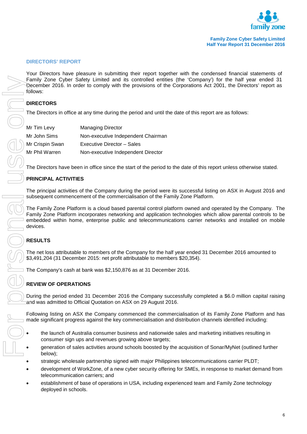

#### <span id="page-5-0"></span>**DIRECTORS' REPORT**

Your Directors have pleasure in submitting their report together with the condensed financial statements of Family Zone Cyber Safety Limited and its controlled entities (the 'Company') for the half year ended 31 December 2016. In order to comply with the provisions of the Corporations Act 2001, the Directors' report as follows:

#### **DIRECTORS**

The Directors in office at any time during the period and until the date of this report are as follows:

| Mr Tim Levy     | <b>Managing Director</b>           |
|-----------------|------------------------------------|
| Mr John Sims    | Non-executive Independent Chairman |
| Mr Crispin Swan | Executive Director - Sales         |
| Mr Phil Warren  | Non-executive Independent Director |

The Directors have been in office since the start of the period to the date of this report unless otherwise stated.

#### **PRINCIPAL ACTIVITIES**

The principal activities of the Company during the period were its successful listing on ASX in August 2016 and subsequent commencement of the commercialisation of the Family Zone Platform.

The Family Zone Platform is a cloud based parental control platform owned and operated by the Company. The Family Zone Platform incorporates networking and application technologies which allow parental controls to be embedded within home, enterprise public and telecommunications carrier networks and installed on mobile devices.

#### **RESULTS**

The net loss attributable to members of the Company for the half year ended 31 December 2016 amounted to \$3,491,204 (31 December 2015: net profit attributable to members \$20,354).

The Company's cash at bank was \$2,150,876 as at 31 December 2016.

#### **REVIEW OF OPERATIONS**

During the period ended 31 December 2016 the Company successfully completed a \$6.0 million capital raising and was admitted to Official Quotation on ASX on 29 August 2016.

Following listing on ASX the Company commenced the commercialisation of its Family Zone Platform and has made significant progress against the key commercialisation and distribution channels identified including:

- the launch of Australia consumer business and nationwide sales and marketing initiatives resulting in consumer sign ups and revenues growing above targets;
- generation of sales activities around schools boosted by the acquisition of Sonar/MyNet (outlined further below);
- strategic wholesale partnership signed with major Philippines telecommunications carrier PLDT:
- development of WorkZone, of a new cyber security offering for SMEs, in response to market demand from telecommunication carriers; and
- establishment of base of operations in USA, including experienced team and Family Zone technology deployed in schools.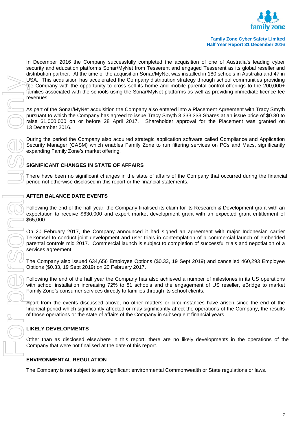

\$65,000. USA. This considerable to any significant behavior in studies a method in the Company is not subject to any significant environmental Commonwealth or State regulations or laws and the Company is no personal the Company is

In December 2016 the Company successfully completed the acquisition of one of Australia's leading cyber security and education platforms Sonar/MyNet from Tesserent and engaged Tesserent as its global reseller and distribution partner. At the time of the acquisition Sonar/MyNet was installed in 180 schools in Australia and 47 in USA. This acquisition has accelerated the Company distribution strategy through school communities providing the Company with the opportunity to cross sell its home and mobile parental control offerings to the 200,000+ families associated with the schools using the Sonar/MyNet platforms as well as providing immediate licence fee revenues.

As part of the Sonar/MyNet acquisition the Company also entered into a Placement Agreement with Tracy Smyth pursuant to which the Company has agreed to issue Tracy Smyth 3,333,333 Shares at an issue price of \$0.30 to raise \$1,000,000 on or before 28 April 2017. Shareholder approval for the Placement was granted on 13 December 2016.

During the period the Company also acquired strategic application software called Compliance and Application Security Manager (CASM) which enables Family Zone to run filtering services on PCs and Macs, significantly expanding Family Zone's market offering.

## **SIGNIFICANT CHANGES IN STATE OF AFFAIRS**

There have been no significant changes in the state of affairs of the Company that occurred during the financial period not otherwise disclosed in this report or the financial statements.

## **AFTER BALANCE DATE EVENTS**

Following the end of the half year, the Company finalised its claim for its Research & Development grant with an expectation to receive \$630,000 and export market development grant with an expected grant entitlement of

On 20 February 2017, the Company announced it had signed an agreement with major Indonesian carrier Telkomsel to conduct joint development and user trials in contemplation of a commercial launch of embedded parental controls mid 2017. Commercial launch is subject to completion of successful trials and negotiation of a services agreement.

The Company also issued 634,656 Employee Options (\$0.33, 19 Sept 2019) and cancelled 460,293 Employee Options (\$0.33, 19 Sept 2019) on 20 February 2017.

Following the end of the half year the Company has also achieved a number of milestones in its US operations with school installation increasing 72% to 81 schools and the engagement of US reseller, eBridge to market Family Zone's consumer services directly to families through its school clients.

Apart from the events discussed above, no other matters or circumstances have arisen since the end of the financial period which significantly affected or may significantly affect the operations of the Company, the results of those operations or the state of affairs of the Company in subsequent financial years.

## **LIKELY DEVELOPMENTS**

Other than as disclosed elsewhere in this report, there are no likely developments in the operations of the Company that were not finalised at the date of this report.

## **ENVIRONMENTAL REGULATION**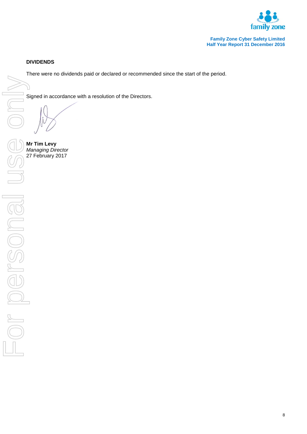

## **DIVIDENDS**

There were no dividends paid or declared or recommended since the start of the period.

Signed in accordance with a resolution of the Directors.

**Mr Tim Levy** *Managing Director*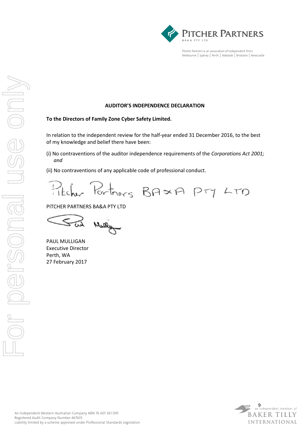

Pitcher Partners is an association of Independent firms Melbourne | Sydney | Perth | Adelaide | Brisbane | Newcastle

#### **AUDITOR'S INDEPENDENCE DECLARATION**

#### **To the Directors of Family Zone Cyber Safety Limited.**

In relation to the independent review for the half-year ended 31 December 2016, to the best of my knowledge and belief there have been:

(i) No contraventions of the auditor independence requirements of the *Corporations Act 2001; and* 

(ii) No contraventions of any applicable code of professional conduct.

Portners BAXA PTY LTD Titcher

PITCHER PARTNERS BA&A PTY LTD

PAUL MULLIGAN Executive Director Perth, WA 27 February 2017

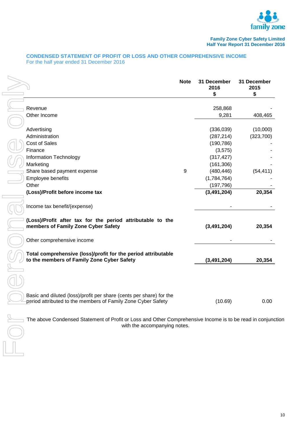

#### <span id="page-9-0"></span>**CONDENSED STATEMENT OF PROFIT OR LOSS AND OTHER COMPREHENSIVE INCOME** For the half year ended 31 December 2016

|                                                                                                                                     | <b>Note</b> | 31 December<br>2016<br>\$ | 31 December<br>2015<br>\$ |
|-------------------------------------------------------------------------------------------------------------------------------------|-------------|---------------------------|---------------------------|
|                                                                                                                                     |             |                           |                           |
| Revenue                                                                                                                             |             | 258,868                   |                           |
| Other Income                                                                                                                        |             | 9,281                     | 408,465                   |
| Advertising                                                                                                                         |             | (336,039)                 | (10,000)                  |
| Administration                                                                                                                      |             | (287, 214)                | (323,700)                 |
| <b>Cost of Sales</b>                                                                                                                |             | (190, 786)                |                           |
| Finance                                                                                                                             |             | (3,575)                   |                           |
| Information Technology                                                                                                              |             | (317, 427)                |                           |
| Marketing                                                                                                                           |             | (161, 306)                |                           |
| Share based payment expense                                                                                                         | 9           | (480, 446)                | (54, 411)                 |
| Employee benefits                                                                                                                   |             | (1,784,764)               |                           |
| Other                                                                                                                               |             | (197, 796)                |                           |
| (Loss)/Profit before income tax                                                                                                     |             | (3, 491, 204)             | 20,354                    |
| Income tax benefit/(expense)                                                                                                        |             |                           |                           |
| (Loss)/Profit after tax for the period attributable to the<br>members of Family Zone Cyber Safety                                   |             | (3, 491, 204)             | 20,354                    |
| Other comprehensive income                                                                                                          |             |                           |                           |
| Total comprehensive (loss)/profit for the period attributable<br>to the members of Family Zone Cyber Safety                         |             | (3, 491, 204)             | 20,354                    |
|                                                                                                                                     |             |                           |                           |
| Basic and diluted (loss)/profit per share (cents per share) for the<br>period attributed to the members of Family Zone Cyber Safety |             | (10.69)                   | 0.00                      |

The above Condensed Statement of Profit or Loss and Other Comprehensive Income is to be read in conjunction with the accompanying notes.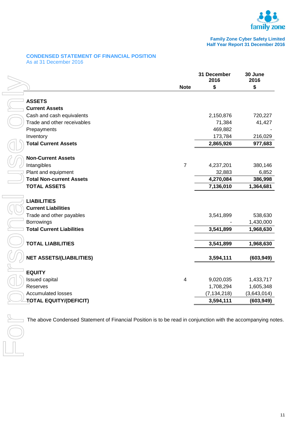

#### <span id="page-10-0"></span>**CONDENSED STATEMENT OF FINANCIAL POSITION** As at 31 December 2016

|                | 31 December<br>2016     | 30 June<br>2016                                                                                            |
|----------------|-------------------------|------------------------------------------------------------------------------------------------------------|
| <b>Note</b>    | \$                      | \$                                                                                                         |
|                |                         |                                                                                                            |
|                |                         |                                                                                                            |
|                |                         | 720,227                                                                                                    |
|                |                         | 41,427                                                                                                     |
|                |                         |                                                                                                            |
|                |                         | 216,029                                                                                                    |
|                | 2,865,926               | 977,683                                                                                                    |
|                |                         |                                                                                                            |
| $\overline{7}$ |                         | 380,146                                                                                                    |
|                | 32,883                  | 6,852                                                                                                      |
|                | 4,270,084               | 386,998                                                                                                    |
|                | 7,136,010               | 1,364,681                                                                                                  |
|                |                         |                                                                                                            |
|                |                         |                                                                                                            |
|                |                         | 538,630                                                                                                    |
|                |                         | 1,430,000                                                                                                  |
|                |                         | 1,968,630                                                                                                  |
|                |                         |                                                                                                            |
|                | 3,541,899               | 1,968,630                                                                                                  |
|                | 3,594,111               | (603, 949)                                                                                                 |
|                |                         |                                                                                                            |
|                |                         | 1,433,717                                                                                                  |
|                |                         | 1,605,348                                                                                                  |
|                | (7, 134, 218)           | (3,643,014)                                                                                                |
|                | 3,594,111               | (603, 949)                                                                                                 |
|                | $\overline{\mathbf{4}}$ | 2,150,876<br>71,384<br>469,882<br>173,784<br>4,237,201<br>3,541,899<br>3,541,899<br>9,020,035<br>1,708,294 |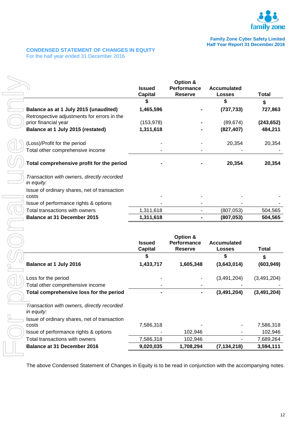

#### <span id="page-11-0"></span>**CONDENSED STATEMENT OF CHANGES IN EQUITY** For the half year ended 31 December 2016

|                                                                         | <b>Issued</b><br><b>Capital</b> | Option &<br>Performance<br><b>Reserve</b> | <b>Accumulated</b><br><b>Losses</b> | <b>Total</b>       |
|-------------------------------------------------------------------------|---------------------------------|-------------------------------------------|-------------------------------------|--------------------|
|                                                                         | \$                              |                                           | \$                                  | \$                 |
| Balance as at 1 July 2015 (unaudited)                                   | 1,465,596                       |                                           | (737, 733)                          | 727,863            |
| Retrospective adjustments for errors in the                             |                                 |                                           |                                     |                    |
| prior financial year                                                    | (153, 978)                      |                                           | (89, 674)                           | (243, 652)         |
| Balance at 1 July 2015 (restated)                                       | 1,311,618                       |                                           | (827, 407)                          | 484,211            |
| (Loss)/Profit for the period                                            |                                 |                                           | 20,354                              | 20,354             |
| Total other comprehensive income                                        |                                 |                                           |                                     |                    |
| Total comprehensive profit for the period                               |                                 |                                           | 20,354                              | 20,354             |
| Transaction with owners, directly recorded<br>in equity:                |                                 |                                           |                                     |                    |
| Issue of ordinary shares, net of transaction                            |                                 |                                           |                                     |                    |
| costs                                                                   |                                 |                                           |                                     |                    |
| Issue of performance rights & options<br>Total transactions with owners |                                 |                                           |                                     |                    |
| <b>Balance at 31 December 2015</b>                                      | 1,311,618<br>1,311,618          |                                           | (807, 053)<br>(807, 053)            | 504,565<br>504,565 |
|                                                                         | <b>Issued</b><br><b>Capital</b> | Option &<br>Performance<br><b>Reserve</b> | <b>Accumulated</b><br><b>Losses</b> | <b>Total</b>       |
|                                                                         | \$                              |                                           | \$                                  | \$                 |
| Balance at 1 July 2016                                                  | 1,433,717                       | 1,605,348                                 | (3,643,014)                         | (603, 949)         |
| Loss for the period                                                     |                                 |                                           | (3,491,204)                         | (3,491,204)        |
| Total other comprehensive income                                        |                                 |                                           |                                     |                    |
| Total comprehensive loss for the period                                 |                                 |                                           | (3, 491, 204)                       | (3, 491, 204)      |
| Transaction with owners, directly recorded<br>in equity:                |                                 |                                           |                                     |                    |
| Issue of ordinary shares, net of transaction                            |                                 |                                           |                                     |                    |
| costs                                                                   | 7,586,318                       |                                           |                                     | 7,586,318          |
|                                                                         |                                 | 102,946<br>102,946                        |                                     | 102,946            |
| Issue of performance rights & options                                   |                                 |                                           |                                     | 7,689,264          |
| Total transactions with owners<br><b>Balance at 31 December 2016</b>    | 7,586,318<br>9,020,035          | 1,708,294                                 | (7, 134, 218)                       | 3,594,111          |

|                                                          |                                 | Option &                             |                              |               |
|----------------------------------------------------------|---------------------------------|--------------------------------------|------------------------------|---------------|
|                                                          | <b>Issued</b><br><b>Capital</b> | <b>Performance</b><br><b>Reserve</b> | Accumulated<br><b>Losses</b> | Total         |
|                                                          | S                               |                                      | S                            | \$            |
| Balance at 1 July 2016                                   | 1,433,717                       | 1,605,348                            | (3,643,014)                  | (603, 949)    |
| Loss for the period                                      |                                 |                                      | (3,491,204)                  | (3,491,204)   |
| Total other comprehensive income                         |                                 |                                      |                              |               |
| Total comprehensive loss for the period                  |                                 |                                      | (3, 491, 204)                | (3, 491, 204) |
| Transaction with owners, directly recorded<br>in equity: |                                 |                                      |                              |               |
| Issue of ordinary shares, net of transaction             |                                 |                                      |                              |               |
| costs                                                    | 7,586,318                       |                                      |                              | 7,586,318     |
| Issue of performance rights & options                    |                                 | 102,946                              |                              | 102,946       |
| Total transactions with owners                           | 7,586,318                       | 102,946                              |                              | 7,689,264     |
| <b>Balance at 31 December 2016</b>                       | 9,020,035                       | 1,708,294                            | (7, 134, 218)                | 3,594,111     |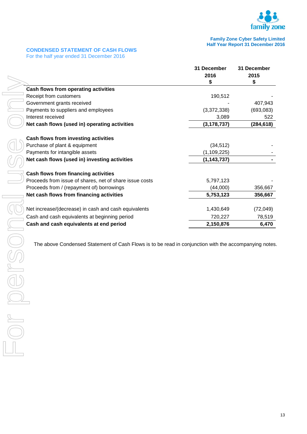

## <span id="page-12-0"></span>**CONDENSED STATEMENT OF CASH FLOWS**

For the half year ended 31 December 2016

|                                                         | 31 December |               | 31 December |
|---------------------------------------------------------|-------------|---------------|-------------|
|                                                         | 2016        |               | 2015        |
|                                                         | S           |               | \$          |
| <b>Cash flows from operating activities</b>             |             |               |             |
| Receipt from customers                                  |             | 190,512       |             |
| Government grants received                              |             |               | 407,943     |
| Payments to suppliers and employees                     |             | (3,372,338)   | (693,083)   |
| Interest received                                       |             | 3,089         | 522         |
| Net cash flows (used in) operating activities           |             | (3, 178, 737) | (284, 618)  |
| Cash flows from investing activities                    |             |               |             |
| Purchase of plant & equipment                           |             | (34, 512)     |             |
| Payments for intangible assets                          |             | (1, 109, 225) |             |
| Net cash flows (used in) investing activities           |             | (1, 143, 737) |             |
| Cash flows from financing activities                    |             |               |             |
| Proceeds from issue of shares, net of share issue costs |             | 5,797,123     |             |
| Proceeds from / (repayment of) borrowings               |             | (44,000)      | 356,667     |
| Net cash flows from financing activities                |             | 5,753,123     | 356,667     |
|                                                         |             |               |             |
| Net increase/(decrease) in cash and cash equivalents    |             | 1,430,649     | (72, 049)   |
| Cash and cash equivalents at beginning period           |             | 720,227       | 78,519      |
| Cash and cash equivalents at end period                 |             | 2,150,876     | 6,470       |

The above Condensed Statement of Cash Flows is to be read in conjunction with the accompanying notes.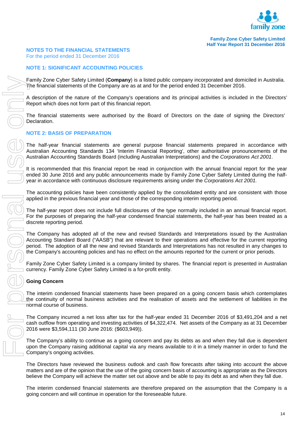

#### <span id="page-13-0"></span>**NOTES TO THE FINANCIAL STATEMENTS**

For the period ended 31 December 2016

#### **NOTE 1: SIGNIFICANT ACCOUNTING POLICIES**

Family Zone Cyber Safety Limited (**Company**) is a listed public company incorporated and domiciled in Australia. The financial statements of the Company are as at and for the period ended 31 December 2016.

A description of the nature of the Company's operations and its principal activities is included in the Directors' Report which does not form part of this financial report.

The financial statements were authorised by the Board of Directors on the date of signing the Directors' Declaration.

#### **NOTE 2: BASIS OF PREPARATION**

The half-year financial statements are general purpose financial statements prepared in accordance with Australian Accounting Standards 134 'Interim Financial Reporting', other authoritative pronouncements of the Australian Accounting Standards Board (including Australian Interpretations) and the *Corporations Act 2001*.

It is recommended that this financial report be read in conjunction with the annual financial report for the year ended 30 June 2016 and any public announcements made by Family Zone Cyber Safety Limited during the halfyear in accordance with continuous disclosure requirements arising under the *Corporations Act 2001.*

The accounting policies have been consistently applied by the consolidated entity and are consistent with those applied in the previous financial year and those of the corresponding interim reporting period.

The half-year report does not include full disclosures of the type normally included in an annual financial report. For the purposes of preparing the half-year condensed financial statements, the half-year has been treated as a discrete reporting period.

The Company has adopted all of the new and revised Standards and Interpretations issued by the Australian Accounting Standard Board ("AASB") that are relevant to their operations and effective for the current reporting period. The adoption of all the new and revised Standards and Interpretations has not resulted in any changes to the Company's accounting policies and has no effect on the amounts reported for the current or prior periods.

Family Zone Cyber Safety Limited is a company limited by shares. The financial report is presented in Australian currency. Family Zone Cyber Safety Limited is a for-profit entity.

#### **Going Concern**

The interim condensed financial statements have been prepared on a going concern basis which contemplates the continuity of normal business activities and the realisation of assets and the settlement of liabilities in the normal course of business.

The Company incurred a net loss after tax for the half-year ended 31 December 2016 of \$3,491,204 and a net cash outflow from operating and investing activities of \$4,322,474. Net assets of the Company as at 31 December 2016 were \$3,594,111 (30 June 2016: (\$603,949)).

The Company's ability to continue as a going concern and pay its debts as and when they fall due is dependent upon the Company raising additional capital via any means available to it in a timely manner in order to fund the Company's ongoing activities.

The Directors have reviewed the business outlook and cash flow forecasts after taking into account the above matters and are of the opinion that the use of the going concern basis of accounting is appropriate as the Directors believe the Company will achieve the matter set out above and be able to pay its debt as and when they fall due.

The interim condensed financial statements are therefore prepared on the assumption that the Company is a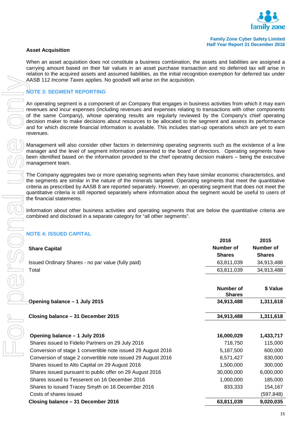

#### **Asset Acquisition**

When an asset acquisition does not constitute a business combination, the assets and liabilities are assigned a carrying amount based on their fair values in an asset purchase transaction and no deferred tax will arise in relation to the acquired assets and assumed liabilities, as the initial recognition exemption for deferred tax under AASB 112 *Income Taxes* applies. No goodwill will arise on the acquisition.

#### **NOTE 3: SEGMENT REPORTING**

#### **NOTE 4: ISSUED CAPITAL**

|                                                    | 2016          | 2015          |
|----------------------------------------------------|---------------|---------------|
| <b>Share Capital</b>                               | Number of     | Number of     |
|                                                    | <b>Shares</b> | <b>Shares</b> |
| Issued Ordinary Shares - no par value (fully paid) | 63.811.039    | 34.913.488    |
| Total                                              | 63,811,039    | 34.913.488    |

| AASB 112 Income Taxes applies. No goodwill will arise on the acquisition.                                                                                                                                                                                                                                                                                                                                                                                                                                                                                                             |                                   |                  |
|---------------------------------------------------------------------------------------------------------------------------------------------------------------------------------------------------------------------------------------------------------------------------------------------------------------------------------------------------------------------------------------------------------------------------------------------------------------------------------------------------------------------------------------------------------------------------------------|-----------------------------------|------------------|
| <b>NOTE 3: SEGMENT REPORTING</b>                                                                                                                                                                                                                                                                                                                                                                                                                                                                                                                                                      |                                   |                  |
| An operating segment is a component of an Company that engages in business activities from which it may earn<br>revenues and incur expenses (including revenues and expenses relating to transactions with other components<br>of the same Company), whose operating results are regularly reviewed by the Company's chief operating<br>decision maker to make decisions about resources to be allocated to the segment and assess its performance<br>and for which discrete financial information is available. This includes start-up operations which are yet to earn<br>revenues. |                                   |                  |
| Management will also consider other factors in determining operating segments such as the existence of a line<br>manager and the level of segment information presented to the board of directors. Operating segments have<br>been identified based on the information provided to the chief operating decision makers – being the executive<br>management team.                                                                                                                                                                                                                      |                                   |                  |
| The Company aggregates two or more operating segments when they have similar economic characteristics, and<br>the segments are similar in the nature of the minerals targeted. Operating segments that meet the quantitative<br>criteria as prescribed by AASB 8 are reported separately. However, an operating segment that does not meet the<br>quantitative criteria is still reported separately where information about the segment would be useful to users of<br>the financial statements.                                                                                     |                                   |                  |
| Information about other business activities and operating segments that are below the quantitative criteria are<br>combined and disclosed in a separate category for "all other segments".                                                                                                                                                                                                                                                                                                                                                                                            |                                   |                  |
| <b>NOTE 4: ISSUED CAPITAL</b>                                                                                                                                                                                                                                                                                                                                                                                                                                                                                                                                                         | 2016                              | 2015             |
| <b>Share Capital</b>                                                                                                                                                                                                                                                                                                                                                                                                                                                                                                                                                                  | Number of                         | <b>Number of</b> |
|                                                                                                                                                                                                                                                                                                                                                                                                                                                                                                                                                                                       | <b>Shares</b>                     | <b>Shares</b>    |
| Issued Ordinary Shares - no par value (fully paid)                                                                                                                                                                                                                                                                                                                                                                                                                                                                                                                                    | 63,811,039                        | 34,913,488       |
| Total                                                                                                                                                                                                                                                                                                                                                                                                                                                                                                                                                                                 | 63,811,039                        | 34,913,488       |
|                                                                                                                                                                                                                                                                                                                                                                                                                                                                                                                                                                                       |                                   |                  |
|                                                                                                                                                                                                                                                                                                                                                                                                                                                                                                                                                                                       | <b>Number of</b><br><b>Shares</b> | \$ Value         |
| Opening balance - 1 July 2015                                                                                                                                                                                                                                                                                                                                                                                                                                                                                                                                                         | 34,913,488                        | 1,311,618        |
| Closing balance - 31 December 2015                                                                                                                                                                                                                                                                                                                                                                                                                                                                                                                                                    | 34,913,488                        | 1,311,618        |
|                                                                                                                                                                                                                                                                                                                                                                                                                                                                                                                                                                                       |                                   |                  |
| Opening balance - 1 July 2016                                                                                                                                                                                                                                                                                                                                                                                                                                                                                                                                                         | 16,000,029                        | 1,433,717        |
| Shares issued to Fidelio Partners on 29 July 2016                                                                                                                                                                                                                                                                                                                                                                                                                                                                                                                                     | 718,750                           | 115,000          |
| Conversion of stage 1 convertible note issued 29 August 2016                                                                                                                                                                                                                                                                                                                                                                                                                                                                                                                          | 5,187,500                         | 600,000          |
| Conversion of stage 2 convertible note issued 29 August 2016                                                                                                                                                                                                                                                                                                                                                                                                                                                                                                                          | 8,571,427                         | 830,000          |
| Shares issued to Alto Capital on 29 August 2016                                                                                                                                                                                                                                                                                                                                                                                                                                                                                                                                       | 1,500,000                         | 300,000          |
| Shares issued pursuant to public offer on 29 August 2016                                                                                                                                                                                                                                                                                                                                                                                                                                                                                                                              | 30,000,000                        | 6,000,000        |
| Shares issued to Tesserent on 16 December 2016                                                                                                                                                                                                                                                                                                                                                                                                                                                                                                                                        | 1,000,000                         | 185,000          |
| Shares to issued Tracey Smyth on 16 December 2016                                                                                                                                                                                                                                                                                                                                                                                                                                                                                                                                     | 833,333                           | 154,167          |
| Costs of shares issued                                                                                                                                                                                                                                                                                                                                                                                                                                                                                                                                                                |                                   | (597, 848)       |
| Closing balance - 31 December 2016                                                                                                                                                                                                                                                                                                                                                                                                                                                                                                                                                    | 63,811,039                        | 9,020,035        |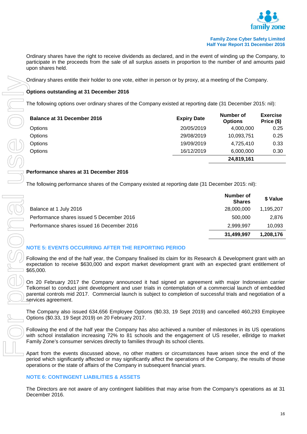

Ordinary shares have the right to receive dividends as declared, and in the event of winding up the Company, to participate in the proceeds from the sale of all surplus assets in proportion to the number of and amounts paid upon shares held.

Ordinary shares entitle their holder to one vote, either in person or by proxy, at a meeting of the Company.

#### **Options outstanding at 31 December 2016**

The following options over ordinary shares of the Company existed at reporting date (31 December 2015: nil):

| <b>Balance at 31 December 2016</b> | <b>Expiry Date</b> | Number of<br><b>Options</b> | <b>Exercise</b><br>Price (\$) |
|------------------------------------|--------------------|-----------------------------|-------------------------------|
| <b>Options</b>                     | 20/05/2019         | 4,000,000                   | 0.25                          |
| <b>Options</b>                     | 29/08/2019         | 10,093,751                  | 0.25                          |
| <b>Options</b>                     | 19/09/2019         | 4,725,410                   | 0.33                          |
| Options                            | 16/12/2019         | 6,000,000                   | 0.30                          |
|                                    |                    | 24,819,161                  |                               |

#### **Performance shares at 31 December 2016**

The following performance shares of the Company existed at reporting date (31 December 2015: nil):

|                                            | Number of<br><b>Shares</b> | \$ Value  |
|--------------------------------------------|----------------------------|-----------|
| Balance at 1 July 2016                     | 28,000,000                 | 1.195.207 |
| Performance shares issued 5 December 2016  | 500.000                    | 2.876     |
| Performance shares issued 16 December 2016 | 2.999.997                  | 10.093    |
|                                            | 31,499,997                 | 1,208,176 |

## **NOTE 5: EVENTS OCCURRING AFTER THE REPORTING PERIOD**

Following the end of the half year, the Company finalised its claim for its Research & Development grant with an expectation to receive \$630,000 and export market development grant with an expected grant entitlement of \$65,000.

On 20 February 2017 the Company announced it had signed an agreement with major Indonesian carrier Telkomsel to conduct joint development and user trials in contemplation of a commercial launch of embedded parental controls mid 2017. Commercial launch is subject to completion of successful trials and negotiation of a services agreement.

The Company also issued 634,656 Employee Options (\$0.33, 19 Sept 2019) and cancelled 460,293 Employee Options (\$0.33, 19 Sept 2019) on 20 February 2017.

Following the end of the half year the Company has also achieved a number of milestones in its US operations with school installation increasing 72% to 81 schools and the engagement of US reseller, eBridge to market Family Zone's consumer services directly to families through its school clients.

Apart from the events discussed above, no other matters or circumstances have arisen since the end of the period which significantly affected or may significantly affect the operations of the Company, the results of those operations or the state of affairs of the Company in subsequent financial years.

#### **NOTE 6: CONTINGENT LIABILITIES & ASSETS**

The Directors are not aware of any contingent liabilities that may arise from the Company's operations as at 31 December 2016.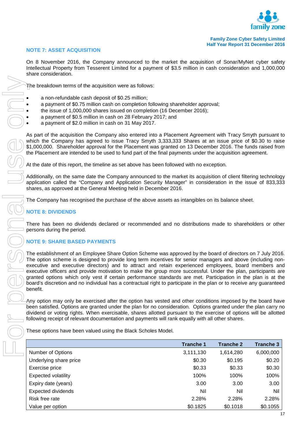

#### **NOTE 7: ASSET ACQUISITION**

On 8 November 2016, the Company announced to the market the acquisition of Sonar/MyNet cyber safety Intellectual Property from Tesserent Limited for a payment of \$3.5 million in cash consideration and 1,000,000 share consideration.

- a non-refundable cash deposit of \$0.25 million;
- a payment of \$0.75 million cash on completion following shareholder approval;
- the issue of 1,000,000 shares issued on completion (16 December 2016);
- a payment of \$0.5 million in cash on 28 February 2017; and
- a payment of \$2.0 million in cash on 31 May 2017.

## **NOTE 8: DIVIDENDS**

#### **NOTE 9: SHARE BASED PAYMENTS**

| The breakdown terms of the acquisition were as follows:                                                                                                                                                                                                                                                                                                                                                                                                                                                                                                                                                                                                                                             |                  |           |  |  |
|-----------------------------------------------------------------------------------------------------------------------------------------------------------------------------------------------------------------------------------------------------------------------------------------------------------------------------------------------------------------------------------------------------------------------------------------------------------------------------------------------------------------------------------------------------------------------------------------------------------------------------------------------------------------------------------------------------|------------------|-----------|--|--|
| a non-refundable cash deposit of \$0.25 million;<br>a payment of \$0.75 million cash on completion following shareholder approval;<br>the issue of 1,000,000 shares issued on completion (16 December 2016);<br>a payment of \$0.5 million in cash on 28 February 2017; and<br>a payment of \$2.0 million in cash on 31 May 2017.                                                                                                                                                                                                                                                                                                                                                                   |                  |           |  |  |
| As part of the acquisition the Company also entered into a Placement Agreement with Tracy Smyth pursuant t<br>which the Company has agreed to issue Tracy Smyth 3,333,333 Shares at an issue price of \$0.30 to rais<br>\$1,000,000. Shareholder approval for the Placement was granted on 13 December 2016. The funds raised fror<br>the Placement are intended to be used to fund part of the final payments under the acquisition agreement.                                                                                                                                                                                                                                                     |                  |           |  |  |
| At the date of this report, the timeline as set above has been followed with no exception.                                                                                                                                                                                                                                                                                                                                                                                                                                                                                                                                                                                                          |                  |           |  |  |
| Additionally, on the same date the Company announced to the market its acquisition of client filtering technolog<br>application called the "Company and Application Security Manager" in consideration in the issue of 833,33<br>shares, as approved at the General Meeting held in December 2016.                                                                                                                                                                                                                                                                                                                                                                                                  |                  |           |  |  |
| The Company has recognised the purchase of the above assets as intangibles on its balance sheet.                                                                                                                                                                                                                                                                                                                                                                                                                                                                                                                                                                                                    |                  |           |  |  |
| <b>NOTE 8: DIVIDENDS</b>                                                                                                                                                                                                                                                                                                                                                                                                                                                                                                                                                                                                                                                                            |                  |           |  |  |
| There has been no dividends declared or recommended and no distributions made to shareholders or othe<br>persons during the period.                                                                                                                                                                                                                                                                                                                                                                                                                                                                                                                                                                 |                  |           |  |  |
| <b>NOTE 9: SHARE BASED PAYMENTS</b>                                                                                                                                                                                                                                                                                                                                                                                                                                                                                                                                                                                                                                                                 |                  |           |  |  |
| The establishment of an Employee Share Option Scheme was approved by the board of directors on 7 July 2016<br>The option scheme is designed to provide long term incentives for senior managers and above (including nor<br>executive and executive directors) and to attract and retain experienced employees, board members an<br>executive officers and provide motivation to make the group more successful. Under the plan, participants ar<br>granted options which only vest if certain performance standards are met. Participation in the plan is at th<br>board's discretion and no individual has a contractual right to participate in the plan or to receive any guarantee<br>benefit. |                  |           |  |  |
| Any option may only be exercised after the option has vested and other conditions imposed by the board hav<br>been satisfied. Options are granted under the plan for no consideration. Options granted under the plan carry n<br>dividend or voting rights. When exercisable, shares allotted pursuant to the exercise of options will be allotte<br>following receipt of relevant documentation and payments will rank equally with all other shares.                                                                                                                                                                                                                                              |                  |           |  |  |
| These options have been valued using the Black Scholes Model.                                                                                                                                                                                                                                                                                                                                                                                                                                                                                                                                                                                                                                       |                  |           |  |  |
| <b>Tranche 1</b>                                                                                                                                                                                                                                                                                                                                                                                                                                                                                                                                                                                                                                                                                    | <b>Tranche 2</b> | Tranche 3 |  |  |
| 3,111,130<br>Number of Options                                                                                                                                                                                                                                                                                                                                                                                                                                                                                                                                                                                                                                                                      | 1,614,280        | 6,000,000 |  |  |
| \$0.30<br>Underlying share price                                                                                                                                                                                                                                                                                                                                                                                                                                                                                                                                                                                                                                                                    | \$0.195          | \$0.20    |  |  |
| \$0.33<br>Exercise price                                                                                                                                                                                                                                                                                                                                                                                                                                                                                                                                                                                                                                                                            | \$0.33           | \$0.30    |  |  |
| 100%<br><b>Expected volatility</b>                                                                                                                                                                                                                                                                                                                                                                                                                                                                                                                                                                                                                                                                  | 100%             | 100%      |  |  |
| Expiry date (years)<br>3.00                                                                                                                                                                                                                                                                                                                                                                                                                                                                                                                                                                                                                                                                         | 3.00             | 3.00      |  |  |
| Nil<br><b>Expected dividends</b>                                                                                                                                                                                                                                                                                                                                                                                                                                                                                                                                                                                                                                                                    | Nil              | Nil       |  |  |
| Risk free rate<br>2.28%                                                                                                                                                                                                                                                                                                                                                                                                                                                                                                                                                                                                                                                                             | 2.28%            | 2.28%     |  |  |
| Value per option<br>\$0.1825                                                                                                                                                                                                                                                                                                                                                                                                                                                                                                                                                                                                                                                                        | \$0.1018         | \$0.1055  |  |  |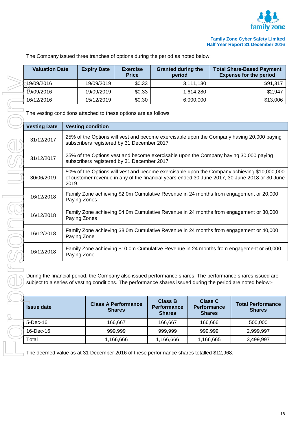

| 16/12/2016                              |  |
|-----------------------------------------|--|
| The vesting cond                        |  |
| <b>Vesting Date</b>                     |  |
|                                         |  |
| 31/12/2017                              |  |
| 31/12/2017                              |  |
| 30/06/2019                              |  |
| 16/12/2018                              |  |
| 16/12/2018                              |  |
| 16/12/2018                              |  |
| 16/12/2018                              |  |
| During the financ<br>subject to a serie |  |
|                                         |  |
| <b>Issue date</b>                       |  |
| 5-Dec-16                                |  |
| 16-Dec-16                               |  |
| Total                                   |  |
| The deemed valu                         |  |
|                                         |  |

The Company issued three tranches of options during the period as noted below:

| <b>Valuation Date</b> | <b>Expiry Date</b> | <b>Exercise</b><br><b>Price</b> | <b>Granted during the</b><br>period | <b>Total Share-Based Payment</b><br><b>Expense for the period</b> |
|-----------------------|--------------------|---------------------------------|-------------------------------------|-------------------------------------------------------------------|
| 19/09/2016            | 19/09/2019         | \$0.33                          | 3,111,130                           | \$91,317                                                          |
| 19/09/2016            | 19/09/2019         | \$0.33                          | 1.614.280                           | \$2,947                                                           |
| 16/12/2016            | 15/12/2019         | \$0.30                          | 6,000,000                           | \$13,006                                                          |

|                                                                                                                                                                                                                            | 19/09/2016          |                                                                                                        | 19/09/2019                                                                                             | \$0.33                                                |                                                       | 3,111,130 |                                           | \$91,317                                                                                                                                                                                     |
|----------------------------------------------------------------------------------------------------------------------------------------------------------------------------------------------------------------------------|---------------------|--------------------------------------------------------------------------------------------------------|--------------------------------------------------------------------------------------------------------|-------------------------------------------------------|-------------------------------------------------------|-----------|-------------------------------------------|----------------------------------------------------------------------------------------------------------------------------------------------------------------------------------------------|
| 19/09/2016                                                                                                                                                                                                                 |                     | 19/09/2019                                                                                             | \$0.33                                                                                                 |                                                       | 1,614,280                                             |           | \$2,947                                   |                                                                                                                                                                                              |
|                                                                                                                                                                                                                            | 16/12/2016          |                                                                                                        | 15/12/2019                                                                                             | \$0.30                                                |                                                       | 6,000,000 |                                           | \$13,006                                                                                                                                                                                     |
|                                                                                                                                                                                                                            |                     |                                                                                                        | The vesting conditions attached to these options are as follows                                        |                                                       |                                                       |           |                                           |                                                                                                                                                                                              |
|                                                                                                                                                                                                                            | <b>Vesting Date</b> |                                                                                                        | <b>Vesting condition</b>                                                                               |                                                       |                                                       |           |                                           |                                                                                                                                                                                              |
|                                                                                                                                                                                                                            | 31/12/2017          |                                                                                                        | subscribers registered by 31 December 2017                                                             |                                                       |                                                       |           |                                           | 25% of the Options will vest and become exercisable upon the Company having 20,000 paying                                                                                                    |
|                                                                                                                                                                                                                            | 31/12/2017          |                                                                                                        | subscribers registered by 31 December 2017                                                             |                                                       |                                                       |           |                                           | 25% of the Options vest and become exercisable upon the Company having 30,000 paying                                                                                                         |
|                                                                                                                                                                                                                            | 30/06/2019          | 2019.                                                                                                  |                                                                                                        |                                                       |                                                       |           |                                           | 50% of the Options will vest and become exercisable upon the Company achieving \$10,000,000<br>of customer revenue in any of the financial years ended 30 June 2017, 30 June 2018 or 30 June |
|                                                                                                                                                                                                                            | 16/12/2018          |                                                                                                        | Family Zone achieving \$2.0m Cumulative Revenue in 24 months from engagement or 20,000<br>Paying Zones |                                                       |                                                       |           |                                           |                                                                                                                                                                                              |
|                                                                                                                                                                                                                            | 16/12/2018          | Family Zone achieving \$4.0m Cumulative Revenue in 24 months from engagement or 30,000<br>Paying Zones |                                                                                                        |                                                       |                                                       |           |                                           |                                                                                                                                                                                              |
|                                                                                                                                                                                                                            | 16/12/2018          | Family Zone achieving \$8.0m Cumulative Revenue in 24 months from engagement or 40,000<br>Paying Zone  |                                                                                                        |                                                       |                                                       |           |                                           |                                                                                                                                                                                              |
|                                                                                                                                                                                                                            | 16/12/2018          | Family Zone achieving \$10.0m Cumulative Revenue in 24 months from engagement or 50,000<br>Paying Zone |                                                                                                        |                                                       |                                                       |           |                                           |                                                                                                                                                                                              |
| During the financial period, the Company also issued performance shares. The performance shares issued are<br>subject to a series of vesting conditions. The performance shares issued during the period are noted below:- |                     |                                                                                                        |                                                                                                        |                                                       |                                                       |           |                                           |                                                                                                                                                                                              |
| <b>Issue date</b>                                                                                                                                                                                                          |                     |                                                                                                        | <b>Class A Performance</b><br><b>Shares</b>                                                            | <b>Class B</b><br><b>Performance</b><br><b>Shares</b> | <b>Class C</b><br><b>Performance</b><br><b>Shares</b> |           | <b>Total Performance</b><br><b>Shares</b> |                                                                                                                                                                                              |
|                                                                                                                                                                                                                            | 5-Dec-16            |                                                                                                        |                                                                                                        | 166,667                                               | 166,667                                               |           | 166,666                                   | 500,000                                                                                                                                                                                      |
| 16-Dec-16                                                                                                                                                                                                                  |                     |                                                                                                        | 999,999                                                                                                | 999,999                                               | 999,999                                               |           | 2,999,997                                 |                                                                                                                                                                                              |
|                                                                                                                                                                                                                            |                     |                                                                                                        |                                                                                                        |                                                       |                                                       |           |                                           |                                                                                                                                                                                              |

| <b>Issue date</b> | <b>Class A Performance</b><br><b>Shares</b> | <b>Class B</b><br><b>Performance</b><br><b>Shares</b> | <b>Class C</b><br><b>Performance</b><br><b>Shares</b> | <b>Total Performance</b><br><b>Shares</b> |
|-------------------|---------------------------------------------|-------------------------------------------------------|-------------------------------------------------------|-------------------------------------------|
| $5$ -Dec-16       | 166.667                                     | 166,667                                               | 166.666                                               | 500,000                                   |
| 16-Dec-16         | 999.999                                     | 999,999                                               | 999.999                                               | 2,999,997                                 |
| Total             | 1,166,666                                   | 166,666. ا                                            | 1,166,665                                             | 3,499,997                                 |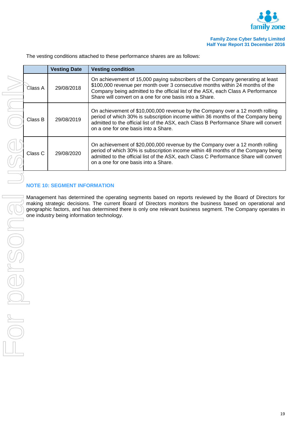

| Class A | 29/08/2018                                                                                                                                                                   | On achieveme<br>\$100,000 reve<br>Company beir<br>Share will con    |
|---------|------------------------------------------------------------------------------------------------------------------------------------------------------------------------------|---------------------------------------------------------------------|
| Class B | 29/08/2019                                                                                                                                                                   | On achieveme<br>period of whic<br>admitted to the<br>on a one for o |
| Class C | 29/08/2020                                                                                                                                                                   | On achievem<br>period of whic<br>admitted to the<br>on a one for o  |
|         |                                                                                                                                                                              |                                                                     |
|         | <b>NOTE 10: SEGMENT INFORMATION</b>                                                                                                                                          |                                                                     |
|         | Management has determined the operatir<br>making strategic decisions. The current<br>geographic factors, and has determined th<br>one industry being information technology. |                                                                     |
|         |                                                                                                                                                                              |                                                                     |
|         |                                                                                                                                                                              |                                                                     |
|         |                                                                                                                                                                              |                                                                     |
|         |                                                                                                                                                                              |                                                                     |
|         |                                                                                                                                                                              |                                                                     |
|         |                                                                                                                                                                              |                                                                     |
|         |                                                                                                                                                                              |                                                                     |
|         |                                                                                                                                                                              |                                                                     |
|         |                                                                                                                                                                              |                                                                     |

The vesting conditions attached to these performance shares are as follows:

**Vesting Date Vesting condition**

| Class A | 29/08/2018 | On achievement of 15,000 paying subscribers of the Company generating at least<br>\$100,000 revenue per month over 3 consecutive months within 24 months of the<br>Company being admitted to the official list of the ASX, each Class A Performance<br>Share will convert on a one for one basis into a Share. |
|---------|------------|----------------------------------------------------------------------------------------------------------------------------------------------------------------------------------------------------------------------------------------------------------------------------------------------------------------|
| Class B | 29/08/2019 | On achievement of \$10,000,000 revenue by the Company over a 12 month rolling<br>period of which 30% is subscription income within 36 months of the Company being<br>admitted to the official list of the ASX, each Class B Performance Share will convert<br>on a one for one basis into a Share.             |
| Class C | 29/08/2020 | On achievement of \$20,000,000 revenue by the Company over a 12 month rolling<br>period of which 30% is subscription income within 48 months of the Company being<br>admitted to the official list of the ASX, each Class C Performance Share will convert<br>on a one for one basis into a Share.             |

## **NOTE INFORMATION**

determined the operating segments based on reports reviewed by the Board of Directors for lecisions. The current Board of Directors monitors the business based on operational and and has determined there is only one relevant business segment. The Company operates in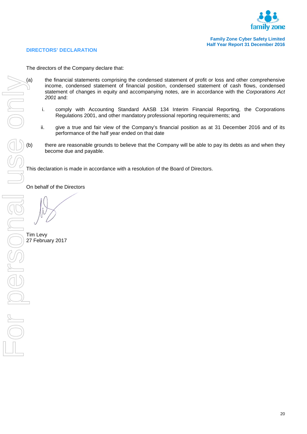

#### **DIRECTORS' DECLARATION**

The directors of the Company declare that:

- (a) the financial statements comprising the condensed statement of profit or loss and other comprehensive income, condensed statement of changes in equity and accompanying notes, are in accordance with the *Corporations Ac* income, condensed statement of financial position, condensed statement of cash flows, condensed statement of changes in equity and accompanying notes, are in accordance with the *Corporations Act 2001* and:
	- i. comply with Accounting Standard AASB 134 Interim Financial Reporting, the Corporations Regulations 2001, and other mandatory professional reporting requirements; and
	- ii. give a true and fair view of the Company's financial position as at 31 December 2016 and of its performance of the half year ended on that date
	- there are reasonable grounds to believe that the Company will be able to pay its debts as and when they become due and payable.

This declaration is made in accordance with a resolution of the Board of Directors.

On behalf of the Directors

Tim Levy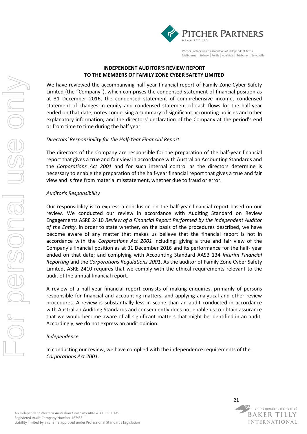

Pitcher Partners is an association of Independent firms Melbourne | Sydney | Perth | Adelaide | Brisbane | Newcastle

#### **INDEPENDENT AUDITOR'S REVIEW REPORT TO THE MEMBERS OF FAMILY ZONE CYBER SAFETY LIMITED**

We have reviewed the accompanying half-year financial report of Family Zone Cyber Safety Limited (the "Company"), which comprises the condensed statement of financial position as at 31 December 2016, the condensed statement of comprehensive income, condensed statement of changes in equity and condensed statement of cash flows for the half-year ended on that date, notes comprising a summary of significant accounting policies and other explanatory information, and the directors' declaration of the Company at the period's end or from time to time during the half year.

#### *Directors' Responsibility for the Half-Year Financial Report*

The directors of the Company are responsible for the preparation of the half-year financial report that gives a true and fair view in accordance with Australian Accounting Standards and the *Corporations Act 2001* and for such internal control as the directors determine is necessary to enable the preparation of the half-year financial report that gives a true and fair view and is free from material misstatement, whether due to fraud or error.

#### *Auditor's Responsibility*

Our responsibility is to express a conclusion on the half-year financial report based on our review. We conducted our review in accordance with Auditing Standard on Review Engagements ASRE 2410 *Review of a Financial Report Performed by the Independent Auditor of the Entity*, in order to state whether, on the basis of the procedures described, we have become aware of any matter that makes us believe that the financial report is not in accordance with the *Corporations Act 2001* including: giving a true and fair view of the Company's financial position as at 31 December 2016 and its performance for the half- year ended on that date; and complying with Accounting Standard AASB 134 *Interim Financial Reporting* and the *Corporations Regulations 2001*. As the auditor of Family Zone Cyber Safety Limited, ASRE 2410 requires that we comply with the ethical requirements relevant to the audit of the annual financial report.

A review of a half-year financial report consists of making enquiries, primarily of persons responsible for financial and accounting matters, and applying analytical and other review procedures. A review is substantially less in scope than an audit conducted in accordance with Australian Auditing Standards and consequently does not enable us to obtain assurance that we would become aware of all significant matters that might be identified in an audit. Accordingly, we do not express an audit opinion.

#### *Independence*

In conducting our review, we have complied with the independence requirements of the *Corporations Act 2001*.